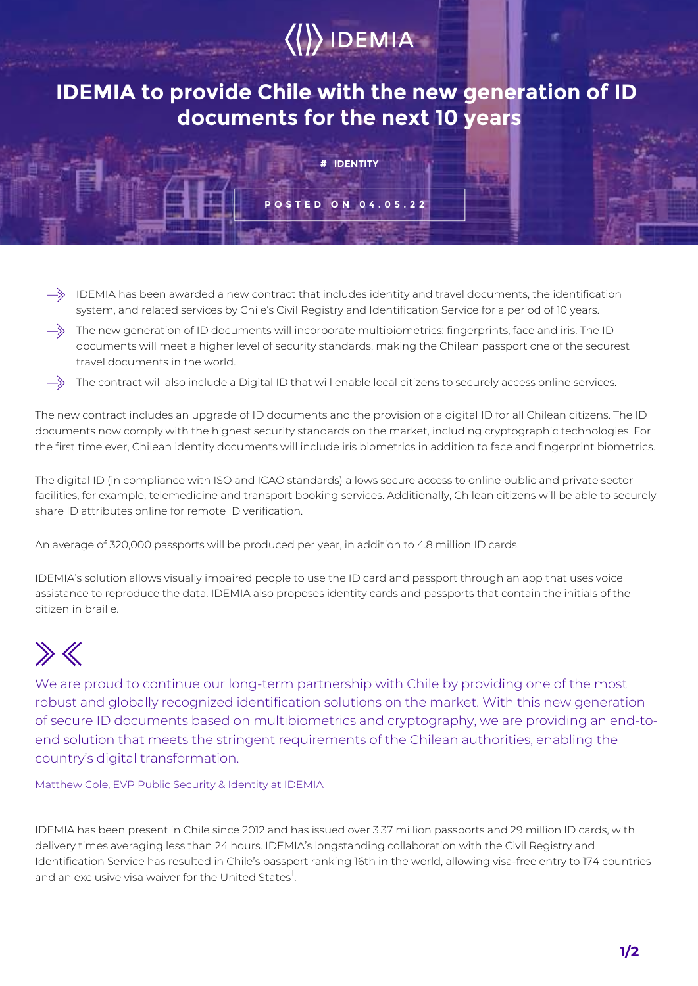# $\langle\langle\rangle\rangle$  IDEMIA

### **IDEMIA to provide Chile with the new generation of ID documents for the next 10 years**

**# IDENTITY**

**POSTED ON 04.05.22**

- $\Rightarrow$  IDEMIA has been awarded a new contract that includes identity and travel documents, the identification system, and related services by Chile's Civil Registry and Identification Service for a period of 10 years.
- $\Rightarrow$  The new generation of ID documents will incorporate multibiometrics: fingerprints, face and iris. The ID documents will meet a higher level of security standards, making the Chilean passport one of the securest travel documents in the world.
- $\rightarrow$ The contract will also include a Digital ID that will enable local citizens to securely access online services.

The new contract includes an upgrade of ID documents and the provision of a digital ID for all Chilean citizens. The ID documents now comply with the highest security standards on the market, including cryptographic technologies. For the first time ever, Chilean identity documents will include iris biometrics in addition to face and fingerprint biometrics.

The digital ID (in compliance with ISO and ICAO standards) allows secure access to online public and private sector facilities, for example, telemedicine and transport booking services. Additionally, Chilean citizens will be able to securely share ID attributes online for remote ID verification.

An average of 320,000 passports will be produced per year, in addition to 4.8 million ID cards.

IDEMIA's solution allows visually impaired people to use the ID card and passport through an app that uses voice assistance to reproduce the data. IDEMIA also proposes identity cards and passports that contain the initials of the citizen in braille.

## $\gg K$

We are proud to continue our long-term partnership with Chile by providing one of the most robust and globally recognized identification solutions on the market. With this new generation of secure ID documents based on multibiometrics and cryptography, we are providing an end-toend solution that meets the stringent requirements of the Chilean authorities, enabling the country's digital transformation.

Matthew Cole, EVP Public Security & Identity at IDEMIA

IDEMIA has been present in Chile since 2012 and has issued over 3.37 million passports and 29 million ID cards, with delivery times averaging less than 24 hours. IDEMIA's longstanding collaboration with the Civil Registry and Identification Service has resulted in Chile's passport ranking 16th in the world, allowing visa-free entry to 174 countries and an exclusive visa waiver for the United States<sup>1</sup>.